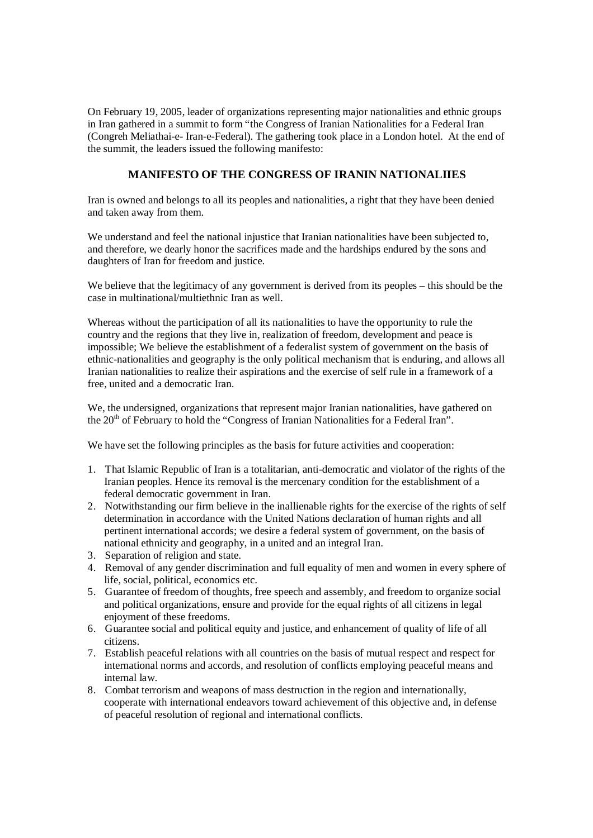On February 19, 2005, leader of organizations representing major nationalities and ethnic groups in Iran gathered in a summit to form "the Congress of Iranian Nationalities for a Federal Iran (Congreh Meliathai-e- Iran-e-Federal). The gathering took place in a London hotel. At the end of the summit, the leaders issued the following manifesto:

## **MANIFESTO OF THE CONGRESS OF IRANIN NATIONALIIES**

Iran is owned and belongs to all its peoples and nationalities, a right that they have been denied and taken away from them.

We understand and feel the national injustice that Iranian nationalities have been subjected to, and therefore, we dearly honor the sacrifices made and the hardships endured by the sons and daughters of Iran for freedom and justice.

We believe that the legitimacy of any government is derived from its peoples – this should be the case in multinational/multiethnic Iran as well.

Whereas without the participation of all its nationalities to have the opportunity to rule the country and the regions that they live in, realization of freedom, development and peace is impossible; We believe the establishment of a federalist system of government on the basis of ethnic-nationalities and geography is the only political mechanism that is enduring, and allows all Iranian nationalities to realize their aspirations and the exercise of self rule in a framework of a free, united and a democratic Iran.

We, the undersigned, organizations that represent major Iranian nationalities, have gathered on the 20<sup>th</sup> of February to hold the "Congress of Iranian Nationalities for a Federal Iran".

We have set the following principles as the basis for future activities and cooperation:

- 1. That Islamic Republic of Iran is a totalitarian, anti-democratic and violator of the rights of the Iranian peoples. Hence its removal is the mercenary condition for the establishment of a federal democratic government in Iran.
- 2. Notwithstanding our firm believe in the inallienable rights for the exercise of the rights of self determination in accordance with the United Nations declaration of human rights and all pertinent international accords; we desire a federal system of government, on the basis of national ethnicity and geography, in a united and an integral Iran.
- 3. Separation of religion and state.
- 4. Removal of any gender discrimination and full equality of men and women in every sphere of life, social, political, economics etc.
- 5. Guarantee of freedom of thoughts, free speech and assembly, and freedom to organize social and political organizations, ensure and provide for the equal rights of all citizens in legal enjoyment of these freedoms.
- 6. Guarantee social and political equity and justice, and enhancement of quality of life of all citizens.
- 7. Establish peaceful relations with all countries on the basis of mutual respect and respect for international norms and accords, and resolution of conflicts employing peaceful means and internal law.
- 8. Combat terrorism and weapons of mass destruction in the region and internationally, cooperate with international endeavors toward achievement of this objective and, in defense of peaceful resolution of regional and international conflicts.